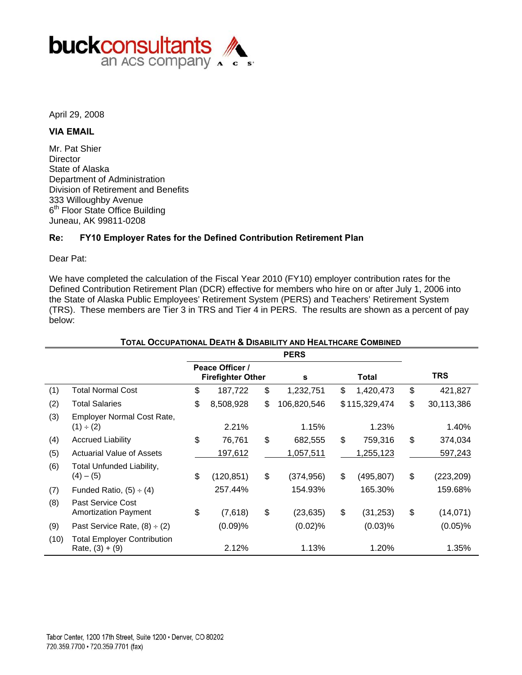

April 29, 2008

## **VIA EMAIL**

Mr. Pat Shier **Director** State of Alaska Department of Administration Division of Retirement and Benefits 333 Willoughby Avenue 6<sup>th</sup> Floor State Office Building Juneau, AK 99811-0208

## **Re: FY10 Employer Rates for the Defined Contribution Retirement Plan**

Dear Pat:

We have completed the calculation of the Fiscal Year 2010 (FY10) employer contribution rates for the Defined Contribution Retirement Plan (DCR) effective for members who hire on or after July 1, 2006 into the State of Alaska Public Employees' Retirement System (PERS) and Teachers' Retirement System (TRS). These members are Tier 3 in TRS and Tier 4 in PERS. The results are shown as a percent of pay below:

|      | TOTAL OCCUPATIONAL DEATH & DISABILITY AND HEALTHCARE COMBINED |    |                                             |    |             |    |                  |                  |
|------|---------------------------------------------------------------|----|---------------------------------------------|----|-------------|----|------------------|------------------|
|      |                                                               |    |                                             |    | <b>PERS</b> |    |                  |                  |
|      |                                                               |    | Peace Officer /<br><b>Firefighter Other</b> |    | s           |    | <b>Total</b>     | <b>TRS</b>       |
| (1)  | <b>Total Normal Cost</b>                                      | \$ | 187,722                                     | \$ | 1,232,751   | \$ | 1,420,473        | \$<br>421,827    |
| (2)  | <b>Total Salaries</b>                                         | \$ | 8,508,928                                   | \$ | 106,820,546 |    | \$115,329,474    | \$<br>30,113,386 |
| (3)  | Employer Normal Cost Rate,<br>$(1) \div (2)$                  |    | 2.21%                                       |    | 1.15%       |    | 1.23%            | 1.40%            |
| (4)  | <b>Accrued Liability</b>                                      | \$ | 76,761                                      | \$ | 682,555     | \$ | 759,316          | \$<br>374,034    |
| (5)  | <b>Actuarial Value of Assets</b>                              |    | 197,612                                     |    | 1,057,511   |    | <u>1,255,123</u> | 597,243          |
| (6)  | Total Unfunded Liability,<br>$(4) - (5)$                      | \$ | (120, 851)                                  | \$ | (374, 956)  | \$ | (495, 807)       | \$<br>(223, 209) |
| (7)  | Funded Ratio, $(5) \div (4)$                                  |    | 257.44%                                     |    | 154.93%     |    | 165.30%          | 159.68%          |
| (8)  | Past Service Cost<br><b>Amortization Payment</b>              | \$ | (7,618)                                     | \$ | (23, 635)   | \$ | (31, 253)        | \$<br>(14, 071)  |
| (9)  | Past Service Rate, $(8) \div (2)$                             |    | (0.09)%                                     |    | (0.02)%     |    | (0.03)%          | $(0.05)\%$       |
| (10) | <b>Total Employer Contribution</b><br>Rate, $(3) + (9)$       |    | 2.12%                                       |    | 1.13%       |    | 1.20%            | 1.35%            |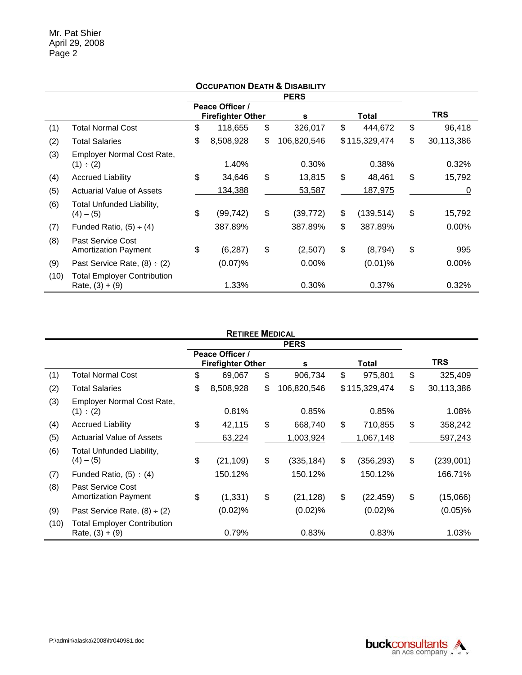|      |                                                         |                                             | <b>OCCUPATION DEATH &amp; DISABILITY</b> |                  |                  |
|------|---------------------------------------------------------|---------------------------------------------|------------------------------------------|------------------|------------------|
|      |                                                         |                                             | <b>PERS</b>                              |                  |                  |
|      |                                                         | Peace Officer /<br><b>Firefighter Other</b> | s                                        | Total            | <b>TRS</b>       |
| (1)  | <b>Total Normal Cost</b>                                | \$<br>118,655                               | \$<br>326,017                            | \$<br>444,672    | \$<br>96,418     |
| (2)  | <b>Total Salaries</b>                                   | \$<br>8,508,928                             | \$<br>106,820,546                        | \$115,329,474    | \$<br>30,113,386 |
| (3)  | Employer Normal Cost Rate,<br>(1) ÷ (2)                 | 1.40%                                       | 0.30%                                    | 0.38%            | 0.32%            |
| (4)  | <b>Accrued Liability</b>                                | \$<br>34,646                                | \$<br>13,815                             | \$<br>48,461     | \$<br>15,792     |
| (5)  | <b>Actuarial Value of Assets</b>                        | 134,388                                     | 53,587                                   | 187,975          | 0                |
| (6)  | Total Unfunded Liability,<br>$(4) - (5)$                | \$<br>(99, 742)                             | \$<br>(39, 772)                          | \$<br>(139, 514) | \$<br>15,792     |
| (7)  | Funded Ratio, $(5) \div (4)$                            | 387.89%                                     | 387.89%                                  | \$<br>387.89%    | $0.00\%$         |
| (8)  | Past Service Cost<br><b>Amortization Payment</b>        | \$<br>(6, 287)                              | \$<br>(2,507)                            | \$<br>(8, 794)   | \$<br>995        |
| (9)  | Past Service Rate, $(8) \div (2)$                       | $(0.07)\%$                                  | $0.00\%$                                 | $(0.01)$ %       | 0.00%            |
| (10) | <b>Total Employer Contribution</b><br>Rate, $(3) + (9)$ | 1.33%                                       | 0.30%                                    | 0.37%            | 0.32%            |

#### **RETIREE MEDICAL**

|      |                                                         |                                             | <b>PERS</b>       |                  |                  |
|------|---------------------------------------------------------|---------------------------------------------|-------------------|------------------|------------------|
|      |                                                         | Peace Officer /<br><b>Firefighter Other</b> | s                 | Total            | <b>TRS</b>       |
| (1)  | Total Normal Cost                                       | \$<br>69,067                                | \$<br>906,734     | \$<br>975,801    | \$<br>325,409    |
| (2)  | <b>Total Salaries</b>                                   | \$<br>8,508,928                             | \$<br>106,820,546 | \$115,329,474    | \$<br>30,113,386 |
| (3)  | Employer Normal Cost Rate,<br>(1) ÷ (2)                 | 0.81%                                       | 0.85%             | 0.85%            | 1.08%            |
| (4)  | <b>Accrued Liability</b>                                | \$<br>42,115                                | \$<br>668,740     | \$<br>710,855    | \$<br>358,242    |
| (5)  | <b>Actuarial Value of Assets</b>                        | 63,224                                      | 1,003,924         | 1,067,148        | 597,243          |
| (6)  | Total Unfunded Liability,<br>$(4) - (5)$                | \$<br>(21, 109)                             | \$<br>(335, 184)  | \$<br>(356, 293) | \$<br>(239,001)  |
| (7)  | Funded Ratio, $(5) \div (4)$                            | 150.12%                                     | 150.12%           | 150.12%          | 166.71%          |
| (8)  | Past Service Cost<br><b>Amortization Payment</b>        | \$<br>(1, 331)                              | \$<br>(21, 128)   | \$<br>(22, 459)  | \$<br>(15,066)   |
| (9)  | Past Service Rate, $(8) \div (2)$                       | $(0.02)$ %                                  | (0.02)%           | (0.02)%          | $(0.05)$ %       |
| (10) | <b>Total Employer Contribution</b><br>Rate, $(3) + (9)$ | 0.79%                                       | 0.83%             | 0.83%            | 1.03%            |

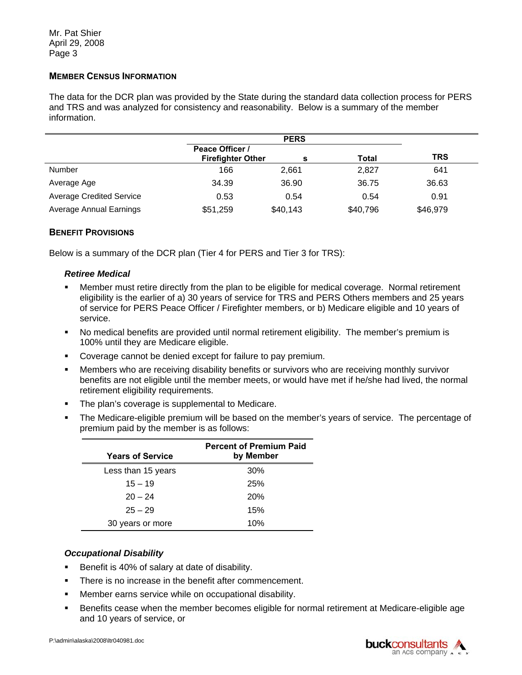### **MEMBER CENSUS INFORMATION**

The data for the DCR plan was provided by the State during the standard data collection process for PERS and TRS and was analyzed for consistency and reasonability. Below is a summary of the member information.

|                                 |                                             | <b>PERS</b> |          |            |  |
|---------------------------------|---------------------------------------------|-------------|----------|------------|--|
|                                 | Peace Officer /<br><b>Firefighter Other</b> | s           | Total    | <b>TRS</b> |  |
| Number                          | 166                                         | 2,661       | 2,827    | 641        |  |
| Average Age                     | 34.39                                       | 36.90       | 36.75    | 36.63      |  |
| <b>Average Credited Service</b> | 0.53                                        | 0.54        | 0.54     | 0.91       |  |
| <b>Average Annual Earnings</b>  | \$51,259                                    | \$40,143    | \$40,796 | \$46,979   |  |

### **BENEFIT PROVISIONS**

Below is a summary of the DCR plan (Tier 4 for PERS and Tier 3 for TRS):

#### *Retiree Medical*

- Member must retire directly from the plan to be eligible for medical coverage. Normal retirement eligibility is the earlier of a) 30 years of service for TRS and PERS Others members and 25 years of service for PERS Peace Officer / Firefighter members, or b) Medicare eligible and 10 years of service.
- No medical benefits are provided until normal retirement eligibility. The member's premium is 100% until they are Medicare eligible.
- **Coverage cannot be denied except for failure to pay premium.**
- Members who are receiving disability benefits or survivors who are receiving monthly survivor benefits are not eligible until the member meets, or would have met if he/she had lived, the normal retirement eligibility requirements.
- The plan's coverage is supplemental to Medicare.
- The Medicare-eligible premium will be based on the member's years of service. The percentage of premium paid by the member is as follows:

| <b>Years of Service</b> | <b>Percent of Premium Paid</b><br>by Member |
|-------------------------|---------------------------------------------|
| Less than 15 years      | 30%                                         |
| $15 - 19$               | 25%                                         |
| $20 - 24$               | <b>20%</b>                                  |
| $25 - 29$               | 15%                                         |
| 30 years or more        | 10%                                         |

### *Occupational Disability*

- Benefit is 40% of salary at date of disability.
- **There is no increase in the benefit after commencement.**
- **Member earns service while on occupational disability.**
- and 10 years of service, or<br>P:\admin\alaska\2008\ltr040981.doc Benefits cease when the member becomes eligible for normal retirement at Medicare-eligible age

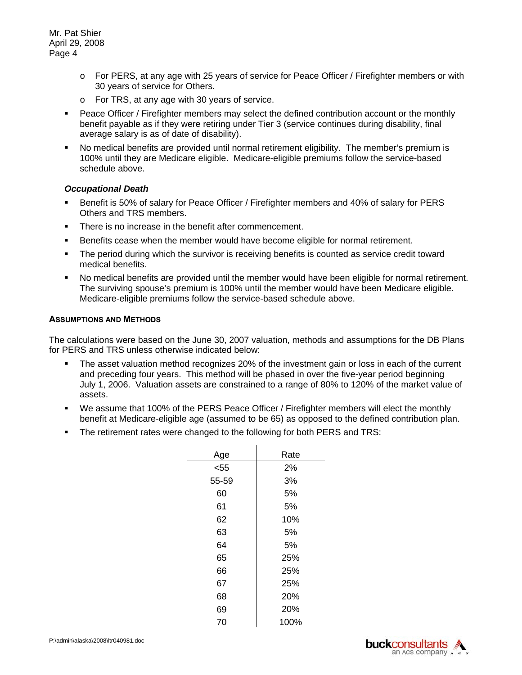- $\circ$  For PERS, at any age with 25 years of service for Peace Officer / Firefighter members or with 30 years of service for Others.
- $\circ$  For TRS, at any age with 30 years of service.
- Peace Officer / Firefighter members may select the defined contribution account or the monthly benefit payable as if they were retiring under Tier 3 (service continues during disability, final average salary is as of date of disability).
- No medical benefits are provided until normal retirement eligibility. The member's premium is 100% until they are Medicare eligible. Medicare-eligible premiums follow the service-based schedule above.

#### *Occupational Death*

- **Benefit is 50% of salary for Peace Officer / Firefighter members and 40% of salary for PERS** Others and TRS members.
- **There is no increase in the benefit after commencement.**
- **Benefits cease when the member would have become eligible for normal retirement.**
- The period during which the survivor is receiving benefits is counted as service credit toward medical benefits.
- No medical benefits are provided until the member would have been eligible for normal retirement. The surviving spouse's premium is 100% until the member would have been Medicare eligible. Medicare-eligible premiums follow the service-based schedule above.

#### **ASSUMPTIONS AND METHODS**

The calculations were based on the June 30, 2007 valuation, methods and assumptions for the DB Plans for PERS and TRS unless otherwise indicated below:

- The asset valuation method recognizes 20% of the investment gain or loss in each of the current and preceding four years. This method will be phased in over the five-year period beginning July 1, 2006. Valuation assets are constrained to a range of 80% to 120% of the market value of assets.
- We assume that 100% of the PERS Peace Officer / Firefighter members will elect the monthly benefit at Medicare-eligible age (assumed to be 65) as opposed to the defined contribution plan.
- The retirement rates were changed to the following for both PERS and TRS:

| Age   | Rate |
|-------|------|
| $55$  | 2%   |
| 55-59 | 3%   |
| 60    | 5%   |
| 61    | 5%   |
| 62    | 10%  |
| 63    | 5%   |
| 64    | 5%   |
| 65    | 25%  |
| 66    | 25%  |
| 67    | 25%  |
| 68    | 20%  |
| 69    | 20%  |
| 70    | 100% |



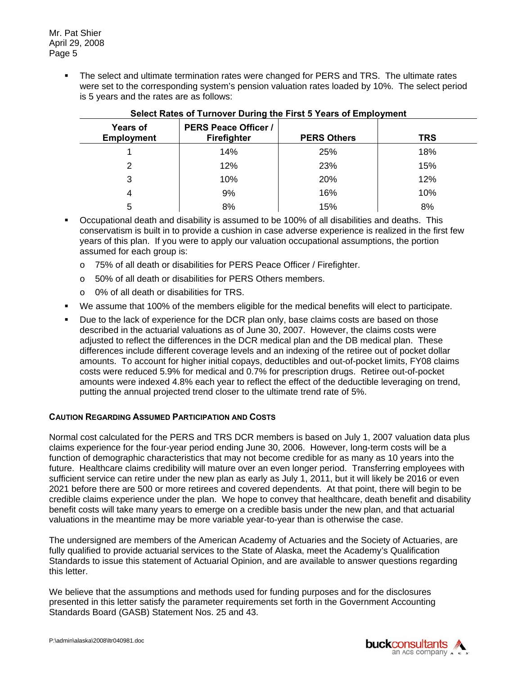The select and ultimate termination rates were changed for PERS and TRS. The ultimate rates were set to the corresponding system's pension valuation rates loaded by 10%. The select period is 5 years and the rates are as follows:

| <b>Years of</b><br><b>Employment</b> | <b>PERS Peace Officer /</b><br><b>Firefighter</b> | <b>PERS Others</b> | <b>TRS</b> |
|--------------------------------------|---------------------------------------------------|--------------------|------------|
|                                      | 14%                                               | 25%                | 18%        |
| 2                                    | 12%                                               | 23%                | 15%        |
| 3                                    | 10%                                               | 20%                | 12%        |
| 4                                    | 9%                                                | 16%                | 10%        |
| 5                                    | 8%                                                | 15%                | 8%         |

# **Select Rates of Turnover During the First 5 Years of Employment**

- Occupational death and disability is assumed to be 100% of all disabilities and deaths. This conservatism is built in to provide a cushion in case adverse experience is realized in the first few years of this plan. If you were to apply our valuation occupational assumptions, the portion assumed for each group is:
	- o 75% of all death or disabilities for PERS Peace Officer / Firefighter.
	- o 50% of all death or disabilities for PERS Others members.
	- $\circ$  0% of all death or disabilities for TRS.
- We assume that 100% of the members eligible for the medical benefits will elect to participate.
- **Due to the lack of experience for the DCR plan only, base claims costs are based on those** described in the actuarial valuations as of June 30, 2007. However, the claims costs were adjusted to reflect the differences in the DCR medical plan and the DB medical plan. These differences include different coverage levels and an indexing of the retiree out of pocket dollar amounts. To account for higher initial copays, deductibles and out-of-pocket limits, FY08 claims costs were reduced 5.9% for medical and 0.7% for prescription drugs. Retiree out-of-pocket amounts were indexed 4.8% each year to reflect the effect of the deductible leveraging on trend, putting the annual projected trend closer to the ultimate trend rate of 5%.

# **CAUTION REGARDING ASSUMED PARTICIPATION AND COSTS**

Normal cost calculated for the PERS and TRS DCR members is based on July 1, 2007 valuation data plus claims experience for the four-year period ending June 30, 2006. However, long-term costs will be a function of demographic characteristics that may not become credible for as many as 10 years into the future. Healthcare claims credibility will mature over an even longer period. Transferring employees with sufficient service can retire under the new plan as early as July 1, 2011, but it will likely be 2016 or even 2021 before there are 500 or more retirees and covered dependents. At that point, there will begin to be credible claims experience under the plan. We hope to convey that healthcare, death benefit and disability benefit costs will take many years to emerge on a credible basis under the new plan, and that actuarial valuations in the meantime may be more variable year-to-year than is otherwise the case.

The undersigned are members of the American Academy of Actuaries and the Society of Actuaries, are fully qualified to provide actuarial services to the State of Alaska, meet the Academy's Qualification Standards to issue this statement of Actuarial Opinion, and are available to answer questions regarding this letter.

We believe that the assumptions and methods used for funding purposes and for the disclosures presented in this letter satisfy the parameter requirements set forth in the Government Accounting Standards Board (GASB) Statement Nos. 25 and 43.